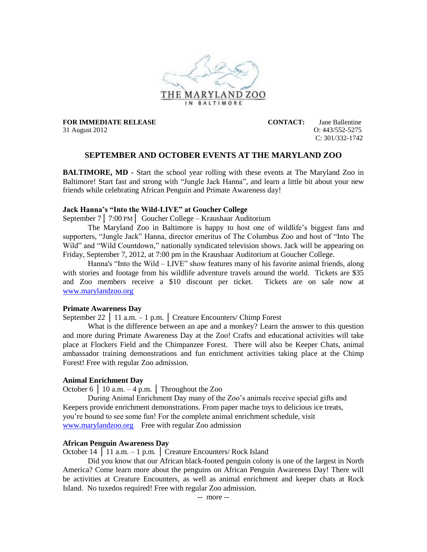

31 August 2012 O: 443/552-5275

**FOR IMMEDIATE RELEASE CONTACT:** Jane Ballentine C: 301/332-1742

# **SEPTEMBER AND OCTOBER EVENTS AT THE MARYLAND ZOO**

**BALTIMORE, MD** - Start the school year rolling with these events at The Maryland Zoo in Baltimore! Start fast and strong with "Jungle Jack Hanna", and learn a little bit about your new friends while celebrating African Penguin and Primate Awareness day!

### **Jack Hanna's "Into the Wild-LIVE" at Goucher College**

September 7│ 7:00 PM│ Goucher College – Kraushaar Auditorium

The Maryland Zoo in Baltimore is happy to host one of wildlife's biggest fans and supporters, "Jungle Jack" Hanna, director emeritus of The Columbus Zoo and host of "Into The Wild" and "Wild Countdown," nationally syndicated television shows. Jack will be appearing on Friday, September 7, 2012, at 7:00 pm in the Kraushaar Auditorium at Goucher College.

Hanna's "Into the Wild – LIVE" show features many of his favorite animal friends, along with stories and footage from his wildlife adventure travels around the world. Tickets are \$35 and Zoo members receive a \$10 discount per ticket. Tickets are on sale now at [www.marylandzoo.org](http://www.marylandzoo.org/)

#### **Primate Awareness Day**

September 22 │ 11 a.m. – 1 p.m. │ Creature Encounters/ Chimp Forest

What is the difference between an ape and a monkey? Learn the answer to this question and more during Primate Awareness Day at the Zoo! Crafts and educational activities will take place at Flockers Field and the Chimpanzee Forest. There will also be Keeper Chats, animal ambassador training demonstrations and fun enrichment activities taking place at the Chimp Forest! Free with regular Zoo admission.

### **Animal Enrichment Day**

October 6  $\vert$  10 a.m. – 4 p.m.  $\vert$  Throughout the Zoo

During Animal Enrichment Day many of the Zoo's animals receive special gifts and Keepers provide enrichment demonstrations. From paper mache toys to delicious ice treats, you're bound to see some fun! For the complete animal enrichment schedule, visit [www.marylandzoo.org](http://www.marylandzoo.org/) Free with regular Zoo admission

### **African Penguin Awareness Day**

October 14 │ 11 a.m. – 1 p.m. │ Creature Encounters/ Rock Island

Did you know that our African black-footed penguin colony is one of the largest in North America? Come learn more about the penguins on African Penguin Awareness Day! There will be activities at Creature Encounters, as well as animal enrichment and keeper chats at Rock Island. No tuxedos required! Free with regular Zoo admission.

-- more --